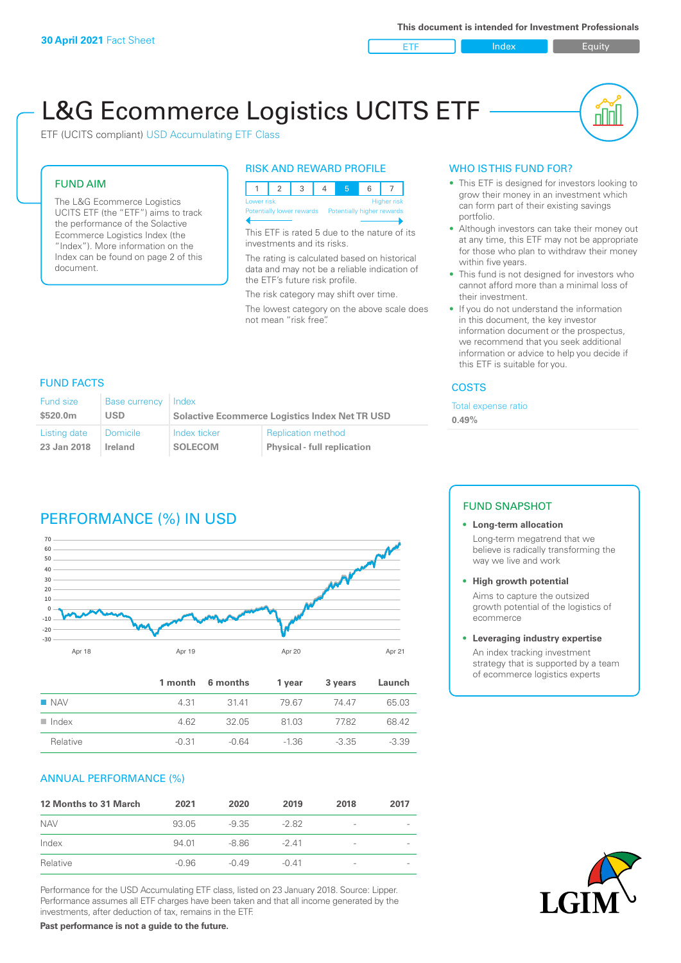ETF Index Buity

nl Inl

# L&G Ecommerce Logistics UCITS ETF

ETF (UCITS compliant) USD Accumulating ETF Class

#### FUND AIM

The L&G Ecommerce Logistics UCITS ETF (the "ETF") aims to track the performance of the Solactive Ecommerce Logistics Index (the "Index"). More information on the Index can be found on page 2 of this document.

#### RISK AND REWARD PROFILE



This ETF is rated 5 due to the nature of its investments and its risks.

The rating is calculated based on historical data and may not be a reliable indication of the ETF's future risk profile.

The risk category may shift over time.

The lowest category on the above scale does not mean "risk free".

### WHO IS THIS FUND FOR?

- This ETF is designed for investors looking to grow their money in an investment which can form part of their existing savings portfolio.
- Although investors can take their money out at any time, this ETF may not be appropriate for those who plan to withdraw their money within five years.
- This fund is not designed for investors who cannot afford more than a minimal loss of their investment.
- If you do not understand the information in this document, the key investor information document or the prospectus, we recommend that you seek additional information or advice to help you decide if this ETF is suitable for you.

#### **COSTS**

Total expense ratio

**0.49%**

# FUND FACTS

| Fund size    | Base currency | Index                                                 |                                    |  |
|--------------|---------------|-------------------------------------------------------|------------------------------------|--|
| \$520.0m     | USD           | <b>Solactive Ecommerce Logistics Index Net TR USD</b> |                                    |  |
| Listing date | Domicile      | Index ticker                                          | <b>Replication method</b>          |  |
| 23 Jan 2018  | Ireland       | SOLECOM                                               | <b>Physical - full replication</b> |  |

# PERFORMANCE (%) IN USD



|                      |         | 1 month 6 months | 1 vear  | 3 years | Launch  |
|----------------------|---------|------------------|---------|---------|---------|
| $\blacksquare$ NAV   | 4 31    | 3141             | 79.67   | 74 47   | 65.03   |
| $\blacksquare$ Index | 4.62    | 32.05            | 81.03   | 77.82   | 68.42   |
| Relative             | $-0.31$ | $-0.64$          | $-1.36$ | $-3.35$ | $-3.39$ |

#### ANNUAL PERFORMANCE (%)

| 12 Months to 31 March | 2021    | 2020    | 2019    | 2018            | 2017 |
|-----------------------|---------|---------|---------|-----------------|------|
| <b>NAV</b>            | 93.05   | -9.35   | -2.82   | $\qquad \qquad$ |      |
| Index                 | 94.01   | -8.86   | $-241$  | -               |      |
| Relative              | $-0.96$ | $-0.49$ | $-0.41$ | -               |      |

Performance for the USD Accumulating ETF class, listed on 23 January 2018. Source: Lipper. Performance assumes all ETF charges have been taken and that all income generated by the investments, after deduction of tax, remains in the ETF.

#### FUND SNAPSHOT

#### **• Long-term allocation** Long-term megatrend that we believe is radically transforming the way we live and work

**• High growth potential**

Aims to capture the outsized growth potential of the logistics of ecommerce

#### **• Leveraging industry expertise**

An index tracking investment strategy that is supported by a team of ecommerce logistics experts



**Past performance is not a guide to the future.**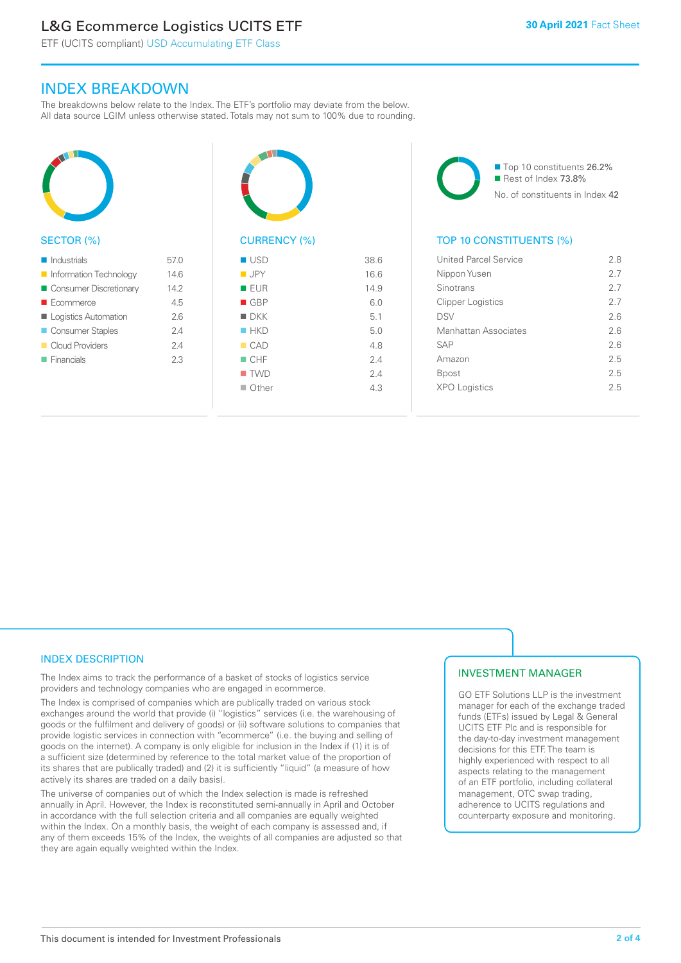# L&G Ecommerce Logistics UCITS ETF

ETF (UCITS compliant) USD Accumulating ETF Class

# INDEX BREAKDOWN

The breakdowns below relate to the Index. The ETF's portfolio may deviate from the below. All data source LGIM unless otherwise stated. Totals may not sum to 100% due to rounding.



#### SECTOR (%)

| $\blacksquare$ Industrials | 57.0 |
|----------------------------|------|
| Information Technology     | 14.6 |
| Consumer Discretionary     | 14.2 |
| $\blacksquare$ Ecommerce   | 45   |
| Logistics Automation       | 26   |
| Consumer Staples           | 24   |
| Cloud Providers            | 24   |
| $\blacksquare$ Financials  | 23   |



# CURRENCY (%)

| $\blacksquare$ USD   | 38.6 |
|----------------------|------|
| <b>JPY</b>           | 16.6 |
| <b>EUR</b>           | 14.9 |
| $\blacksquare$ GBP   | 6.0  |
| $\blacksquare$ $DKK$ | 5.1  |
| HKD                  | 5.0  |
| CAD                  | 4.8  |
| $\Box$ CHF           | 2.4  |
| $\blacksquare$ TWD   | 2.4  |
| $\Box$ Other         | 4.3  |
|                      |      |

■ Top 10 constituents 26.2% Rest of Index 73.8% No. of constituents in Index 42

## TOP 10 CONSTITUENTS (%)

| <b>United Parcel Service</b> | 28  |
|------------------------------|-----|
| Nippon Yusen                 | 27  |
| Sinotrans                    | 27  |
| <b>Clipper Logistics</b>     | 27  |
| <b>DSV</b>                   | 26  |
| Manhattan Associates         | 26  |
| <b>SAP</b>                   | 26  |
| Amazon                       | 25  |
| Bpost                        | 2.5 |
| <b>XPO Logistics</b>         | 25  |
|                              |     |

### INDEX DESCRIPTION

The Index aims to track the performance of a basket of stocks of logistics service providers and technology companies who are engaged in ecommerce.

The Index is comprised of companies which are publically traded on various stock exchanges around the world that provide (i) "logistics" services (i.e. the warehousing of goods or the fulfilment and delivery of goods) or (ii) software solutions to companies that provide logistic services in connection with "ecommerce" (i.e. the buying and selling of goods on the internet). A company is only eligible for inclusion in the Index if (1) it is of a sufficient size (determined by reference to the total market value of the proportion of its shares that are publically traded) and (2) it is sufficiently "liquid" (a measure of how actively its shares are traded on a daily basis).

The universe of companies out of which the Index selection is made is refreshed annually in April. However, the Index is reconstituted semi-annually in April and October in accordance with the full selection criteria and all companies are equally weighted within the Index. On a monthly basis, the weight of each company is assessed and, if any of them exceeds 15% of the Index, the weights of all companies are adjusted so that they are again equally weighted within the Index.

### INVESTMENT MANAGER

GO ETF Solutions LLP is the investment manager for each of the exchange traded funds (ETFs) issued by Legal & General UCITS ETF Plc and is responsible for the day-to-day investment management decisions for this ETF. The team is highly experienced with respect to all aspects relating to the management of an ETF portfolio, including collateral management, OTC swap trading, adherence to UCITS regulations and counterparty exposure and monitoring.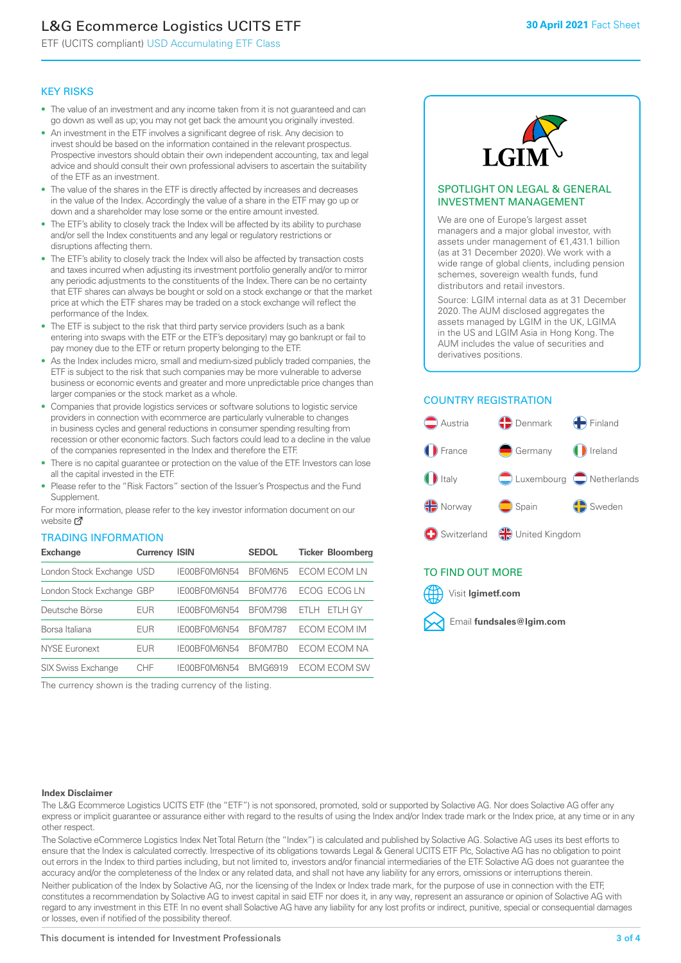# L&G Ecommerce Logistics UCITS ETF

ETF (UCITS compliant) USD Accumulating ETF Class

# KEY RISKS

- The value of an investment and any income taken from it is not guaranteed and can go down as well as up; you may not get back the amount you originally invested.
- An investment in the ETF involves a significant degree of risk. Any decision to invest should be based on the information contained in the relevant prospectus. Prospective investors should obtain their own independent accounting, tax and legal advice and should consult their own professional advisers to ascertain the suitability of the ETF as an investment.
- The value of the shares in the ETF is directly affected by increases and decreases in the value of the Index. Accordingly the value of a share in the ETF may go up or down and a shareholder may lose some or the entire amount invested.
- The ETF's ability to closely track the Index will be affected by its ability to purchase and/or sell the Index constituents and any legal or regulatory restrictions or disruptions affecting them.
- The ETF's ability to closely track the Index will also be affected by transaction costs and taxes incurred when adjusting its investment portfolio generally and/or to mirror any periodic adjustments to the constituents of the Index. There can be no certainty that ETF shares can always be bought or sold on a stock exchange or that the market price at which the ETF shares may be traded on a stock exchange will reflect the performance of the Index.
- The ETF is subject to the risk that third party service providers (such as a bank entering into swaps with the ETF or the ETF's depositary) may go bankrupt or fail to pay money due to the ETF or return property belonging to the ETF.
- As the Index includes micro, small and medium-sized publicly traded companies, the ETF is subject to the risk that such companies may be more vulnerable to adverse business or economic events and greater and more unpredictable price changes than larger companies or the stock market as a whole.
- Companies that provide logistics services or software solutions to logistic service providers in connection with ecommerce are particularly vulnerable to changes in business cycles and general reductions in consumer spending resulting from recession or other economic factors. Such factors could lead to a decline in the value of the companies represented in the Index and therefore the ETF.
- There is no capital guarantee or protection on the value of the ETF. Investors can lose all the capital invested in the ETF.
- Please refer to the "Risk Factors" section of the Issuer's Prospectus and the Fund **Supplement**

For mo[re inf](https://www.lgimetf.com/)ormation, please refer to the key investor information document on our website Ø

### TRADING INFORMATION

| <b>Exchange</b>           | <b>Currency ISIN</b> |              | <b>SEDOL</b>   | <b>Ticker Bloomberg</b> |
|---------------------------|----------------------|--------------|----------------|-------------------------|
| London Stock Exchange USD |                      | IE00BF0M6N54 | BF0M6N5        | ECOM ECOM LN            |
| London Stock Exchange GBP |                      | IE00BF0M6N54 | <b>BF0M776</b> | ECOG ECOG LN            |
| Deutsche Börse            | EUR                  | IE00BF0M6N54 | <b>BF0M798</b> | ETLH GY<br>FTI H        |
| Borsa Italiana            | EUR                  | IE00BF0M6N54 | <b>BF0M787</b> | ECOM ECOM IM            |
| <b>NYSE Euronext</b>      | EUR                  | IE00BF0M6N54 | BF0M7B0        | ECOM ECOM NA            |
| <b>SIX Swiss Exchange</b> | CHE                  | IE00BF0M6N54 | <b>BMG6919</b> | <b>FCOM FCOM SW</b>     |

The currency shown is the trading currency of the listing.



### SPOTLIGHT ON LEGAL & GENERAL INVESTMENT MANAGEMENT

We are one of Europe's largest asset managers and a major global investor, with assets under management of €1,431.1 billion (as at 31 December 2020). We work with a wide range of global clients, including pension schemes, sovereign wealth funds, fund distributors and retail investors.

Source: LGIM internal data as at 31 December 2020. The AUM disclosed aggregates the assets managed by LGIM in the UK, LGIMA in the US and LGIM Asia in Hong Kong. The AUM includes the value of securities and derivatives positions.

# COUNTRY REGISTRATION



# TO FIND OUT MORE



#### **Index Disclaimer**

The L&G Ecommerce Logistics UCITS ETF (the "ETF") is not sponsored, promoted, sold or supported by Solactive AG. Nor does Solactive AG offer any express or implicit guarantee or assurance either with regard to the results of using the Index and/or Index trade mark or the Index price, at any time or in any other respect.

The Solactive eCommerce Logistics Index Net Total Return (the "Index") is calculated and published by Solactive AG. Solactive AG uses its best efforts to ensure that the Index is calculated correctly. Irrespective of its obligations towards Legal & General UCITS ETF Plc, Solactive AG has no obligation to point out errors in the Index to third parties including, but not limited to, investors and/or financial intermediaries of the ETF. Solactive AG does not guarantee the accuracy and/or the completeness of the Index or any related data, and shall not have any liability for any errors, omissions or interruptions therein. Neither publication of the Index by Solactive AG, nor the licensing of the Index or Index trade mark, for the purpose of use in connection with the ETF,

constitutes a recommendation by Solactive AG to invest capital in said ETF nor does it, in any way, represent an assurance or opinion of Solactive AG with regard to any investment in this ETF. In no event shall Solactive AG have any liability for any lost profits or indirect, punitive, special or consequential damages or losses, even if notified of the possibility thereof.